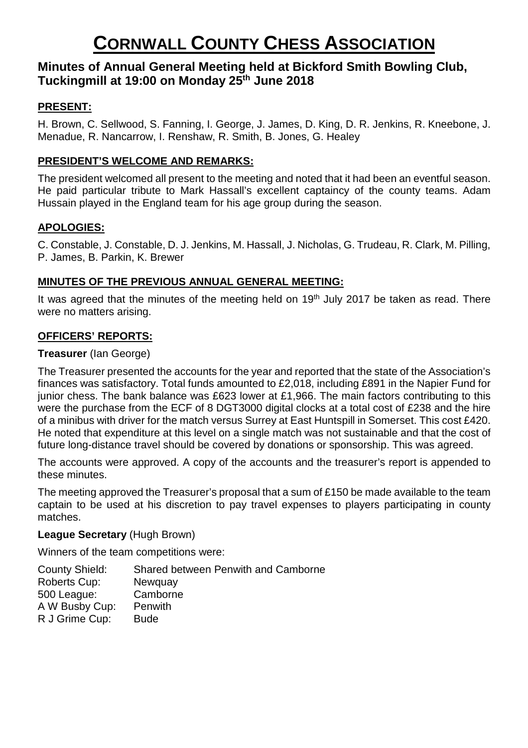# **Minutes of Annual General Meeting held at Bickford Smith Bowling Club, Tuckingmill at 19:00 on Monday 25th June 2018**

# **PRESENT:**

H. Brown, C. Sellwood, S. Fanning, I. George, J. James, D. King, D. R. Jenkins, R. Kneebone, J. Menadue, R. Nancarrow, I. Renshaw, R. Smith, B. Jones, G. Healey

## **PRESIDENT'S WELCOME AND REMARKS:**

The president welcomed all present to the meeting and noted that it had been an eventful season. He paid particular tribute to Mark Hassall's excellent captaincy of the county teams. Adam Hussain played in the England team for his age group during the season.

## **APOLOGIES:**

C. Constable, J. Constable, D. J. Jenkins, M. Hassall, J. Nicholas, G. Trudeau, R. Clark, M. Pilling, P. James, B. Parkin, K. Brewer

## **MINUTES OF THE PREVIOUS ANNUAL GENERAL MEETING:**

It was agreed that the minutes of the meeting held on  $19<sup>th</sup>$  July 2017 be taken as read. There were no matters arising.

## **OFFICERS' REPORTS:**

### **Treasurer** (Ian George)

The Treasurer presented the accounts for the year and reported that the state of the Association's finances was satisfactory. Total funds amounted to £2,018, including £891 in the Napier Fund for junior chess. The bank balance was £623 lower at £1,966. The main factors contributing to this were the purchase from the ECF of 8 DGT3000 digital clocks at a total cost of £238 and the hire of a minibus with driver for the match versus Surrey at East Huntspill in Somerset. This cost £420. He noted that expenditure at this level on a single match was not sustainable and that the cost of future long-distance travel should be covered by donations or sponsorship. This was agreed.

The accounts were approved. A copy of the accounts and the treasurer's report is appended to these minutes.

The meeting approved the Treasurer's proposal that a sum of £150 be made available to the team captain to be used at his discretion to pay travel expenses to players participating in county matches.

## **League Secretary** (Hugh Brown)

Winners of the team competitions were:

County Shield: Shared between Penwith and Camborne Roberts Cup: Newquay 500 League: Camborne A W Busby Cup: Penwith R J Grime Cup: Bude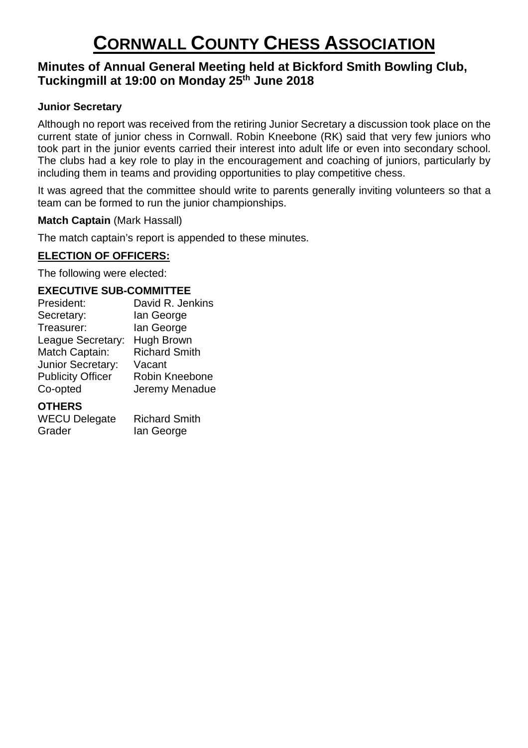# **Minutes of Annual General Meeting held at Bickford Smith Bowling Club, Tuckingmill at 19:00 on Monday 25th June 2018**

## **Junior Secretary**

Although no report was received from the retiring Junior Secretary a discussion took place on the current state of junior chess in Cornwall. Robin Kneebone (RK) said that very few juniors who took part in the junior events carried their interest into adult life or even into secondary school. The clubs had a key role to play in the encouragement and coaching of juniors, particularly by including them in teams and providing opportunities to play competitive chess.

It was agreed that the committee should write to parents generally inviting volunteers so that a team can be formed to run the junior championships.

**Match Captain (Mark Hassall)** 

The match captain's report is appended to these minutes.

# **ELECTION OF OFFICERS:**

The following were elected:

### **EXECUTIVE SUB-COMMITTEE**

| President:               | David R. Jenkins     |
|--------------------------|----------------------|
| Secretary:               | lan George           |
| Treasurer:               | lan George           |
| League Secretary:        | Hugh Brown           |
| Match Captain:           | <b>Richard Smith</b> |
| Junior Secretary:        | Vacant               |
| <b>Publicity Officer</b> | Robin Kneebone       |
| Co-opted                 | Jeremy Menadue       |
|                          |                      |

#### **OTHERS**

WECU Delegate Richard Smith Grader Ian George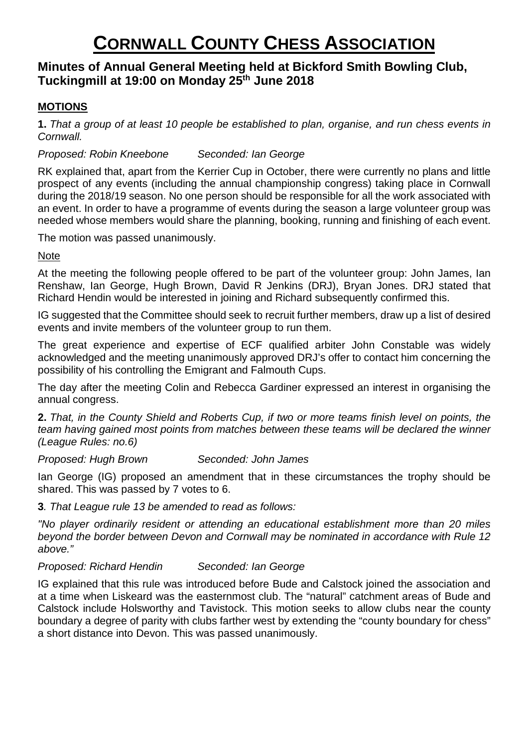# **Minutes of Annual General Meeting held at Bickford Smith Bowling Club, Tuckingmill at 19:00 on Monday 25th June 2018**

# **MOTIONS**

1. That a group of at least 10 people be established to plan, organise, and run chess events in *Cornwall.* 

### *Proposed: Robin Kneebone Seconded: Ian George*

RK explained that, apart from the Kerrier Cup in October, there were currently no plans and little prospect of any events (including the annual championship congress) taking place in Cornwall during the 2018/19 season. No one person should be responsible for all the work associated with an event. In order to have a programme of events during the season a large volunteer group was needed whose members would share the planning, booking, running and finishing of each event.

The motion was passed unanimously.

#### Note

At the meeting the following people offered to be part of the volunteer group: John James, Ian Renshaw, Ian George, Hugh Brown, David R Jenkins (DRJ), Bryan Jones. DRJ stated that Richard Hendin would be interested in joining and Richard subsequently confirmed this.

IG suggested that the Committee should seek to recruit further members, draw up a list of desired events and invite members of the volunteer group to run them.

The great experience and expertise of ECF qualified arbiter John Constable was widely acknowledged and the meeting unanimously approved DRJ's offer to contact him concerning the possibility of his controlling the Emigrant and Falmouth Cups.

The day after the meeting Colin and Rebecca Gardiner expressed an interest in organising the annual congress.

2. That, in the County Shield and Roberts Cup, if two or more teams finish level on points, the *team having gained most points from matches between these teams will be declared the winner (League Rules: no.6)* 

#### *Proposed: Hugh Brown Seconded: John James*

Ian George (IG) proposed an amendment that in these circumstances the trophy should be shared. This was passed by 7 votes to 6.

**3***. That League rule 13 be amended to read as follows:* 

*"No player ordinarily resident or attending an educational establishment more than 20 miles beyond the border between Devon and Cornwall may be nominated in accordance with Rule 12 above."* 

#### *Proposed: Richard Hendin Seconded: Ian George*

IG explained that this rule was introduced before Bude and Calstock joined the association and at a time when Liskeard was the easternmost club. The "natural" catchment areas of Bude and Calstock include Holsworthy and Tavistock. This motion seeks to allow clubs near the county boundary a degree of parity with clubs farther west by extending the "county boundary for chess" a short distance into Devon. This was passed unanimously.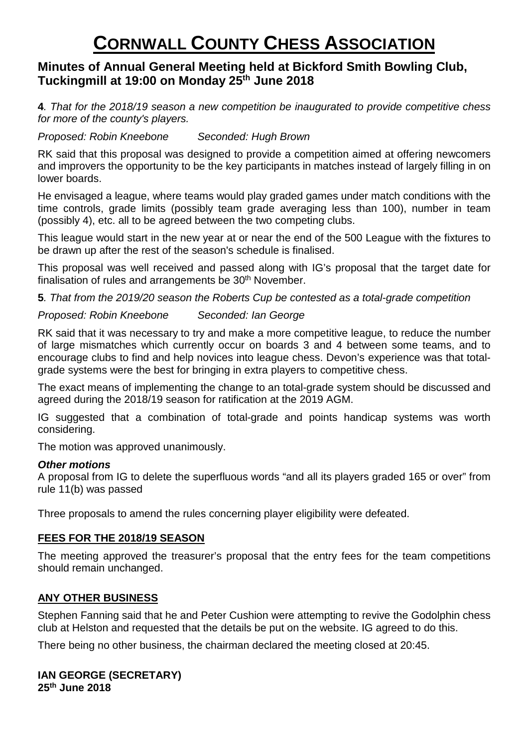# **Minutes of Annual General Meeting held at Bickford Smith Bowling Club, Tuckingmill at 19:00 on Monday 25th June 2018**

**4***. That for the 2018/19 season a new competition be inaugurated to provide competitive chess for more of the county's players.* 

*Proposed: Robin Kneebone Seconded: Hugh Brown* 

RK said that this proposal was designed to provide a competition aimed at offering newcomers and improvers the opportunity to be the key participants in matches instead of largely filling in on lower boards.

He envisaged a league, where teams would play graded games under match conditions with the time controls, grade limits (possibly team grade averaging less than 100), number in team (possibly 4), etc. all to be agreed between the two competing clubs.

This league would start in the new year at or near the end of the 500 League with the fixtures to be drawn up after the rest of the season's schedule is finalised.

This proposal was well received and passed along with IG's proposal that the target date for finalisation of rules and arrangements be 30<sup>th</sup> November.

**5***. That from the 2019/20 season the Roberts Cup be contested as a total-grade competition* 

## *Proposed: Robin Kneebone Seconded: Ian George*

RK said that it was necessary to try and make a more competitive league, to reduce the number of large mismatches which currently occur on boards 3 and 4 between some teams, and to encourage clubs to find and help novices into league chess. Devon's experience was that totalgrade systems were the best for bringing in extra players to competitive chess.

The exact means of implementing the change to an total-grade system should be discussed and agreed during the 2018/19 season for ratification at the 2019 AGM.

IG suggested that a combination of total-grade and points handicap systems was worth considering.

The motion was approved unanimously.

#### *Other motions*

A proposal from IG to delete the superfluous words "and all its players graded 165 or over" from rule 11(b) was passed

Three proposals to amend the rules concerning player eligibility were defeated.

## **FEES FOR THE 2018/19 SEASON**

The meeting approved the treasurer's proposal that the entry fees for the team competitions should remain unchanged.

## **ANY OTHER BUSINESS**

Stephen Fanning said that he and Peter Cushion were attempting to revive the Godolphin chess club at Helston and requested that the details be put on the website. IG agreed to do this.

There being no other business, the chairman declared the meeting closed at 20:45.

#### **IAN GEORGE (SECRETARY) 25th June 2018**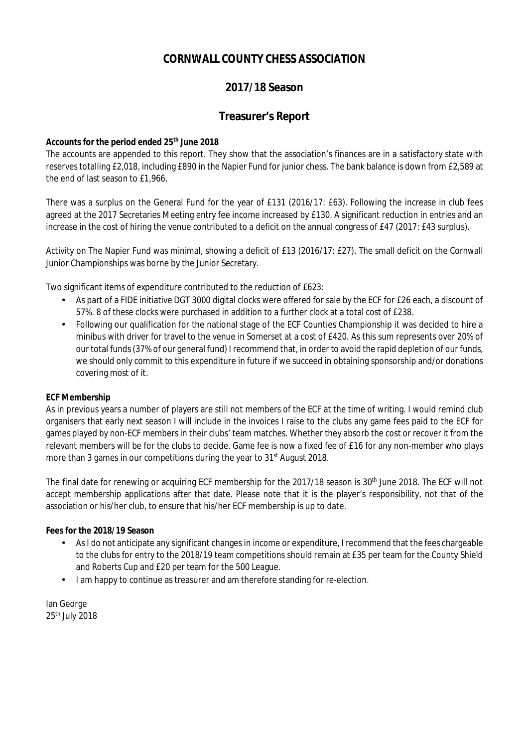# **2017/18 Season**

### **Treasurer's Report**

#### **Accounts for the period ended 25th June 2018**

The accounts are appended to this report. They show that the association's finances are in a satisfactory state with reserves totalling £2,018, including £890 in the Napier Fund for junior chess. The bank balance is down from £2,589 at the end of last season to £1,966.

There was a surplus on the General Fund for the year of £131 (2016/17: £63). Following the increase in club fees agreed at the 2017 Secretaries Meeting entry fee income increased by £130. A significant reduction in entries and an increase in the cost of hiring the venue contributed to a deficit on the annual congress of £47 (2017: £43 surplus).

Activity on The Napier Fund was minimal, showing a deficit of £13 (2016/17: £27). The small deficit on the Cornwall Junior Championships was borne by the Junior Secretary.

Two significant items of expenditure contributed to the reduction of £623:

- As part of a FIDE initiative DGT 3000 digital clocks were offered for sale by the ECF for £26 each, a discount of 57%. 8 of these clocks were purchased in addition to a further clock at a total cost of £238.
- Following our qualification for the national stage of the ECF Counties Championship it was decided to hire a minibus with driver for travel to the venue in Somerset at a cost of £420. As this sum represents over 20% of our total funds(37% of our general fund) I recommend that, in order to avoid the rapid depletion of our funds, we should only commit to this expenditure in future if we succeed in obtaining sponsorship and/or donations covering most of it.

#### **ECF Membership**

As in previous years a number of players are still not members of the ECF at the time of writing. I would remind club organisers that early next season I will include in the invoices I raise to the clubs any game fees paid to the ECF for games played by non-ECF members in their clubs' team matches. Whether they absorb the cost or recover it from the relevant members will be for the clubs to decide. Game fee is now a fixed fee of £16 for any non-member who plays more than 3 games in our competitions during the year to 31<sup>st</sup> August 2018.

The final date for renewing or acquiring ECF membership for the 2017/18 season is 30<sup>th</sup> June 2018. The ECF will not accept membership applications after that date. Please note that it is the player's responsibility, not that of the association or his/her club, to ensure that his/her ECF membership is up to date.

#### **Fees for the 2018/19 Season**

- As I do not anticipate any significant changes in income or expenditure, I recommend that the fees chargeable to the clubs for entry to the 2018/19 team competitions should remain at £35 per team for the County Shield and Roberts Cup and £20 per team for the 500 League.
- I am happy to continue as treasurer and am therefore standing for re-election.

Ian George 25th July 2018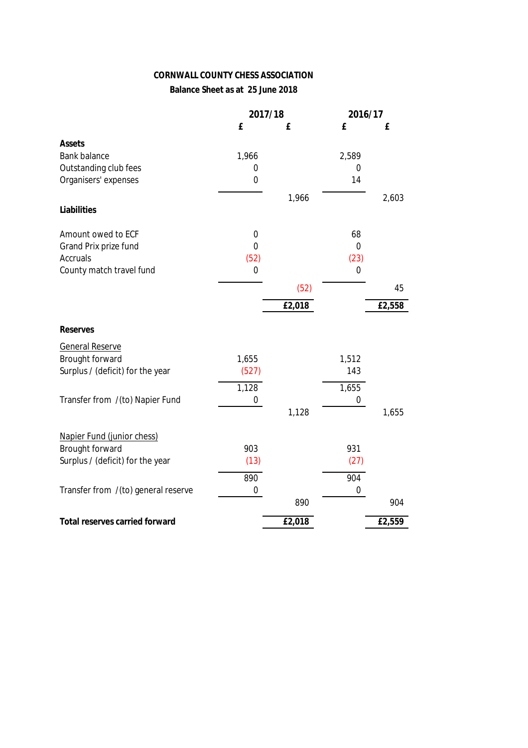## **Balance Sheet as at 25 June 2018**

|                                       | 2017/18     |        | 2016/17     |        |
|---------------------------------------|-------------|--------|-------------|--------|
|                                       | £           | £      | £           | £      |
| Assets                                |             |        |             |        |
| <b>Bank balance</b>                   | 1,966       |        | 2,589       |        |
| Outstanding club fees                 | 0           |        | 0           |        |
| Organisers' expenses                  | $\mathbf 0$ |        | 14          |        |
|                                       |             | 1,966  |             | 2,603  |
| Liabilities                           |             |        |             |        |
|                                       |             |        |             |        |
| Amount owed to ECF                    | $\mathbf 0$ |        | 68          |        |
| Grand Prix prize fund                 | $\mathbf 0$ |        | 0           |        |
| <b>Accruals</b>                       | (52)        |        | (23)        |        |
| County match travel fund              | $\mathbf 0$ |        | $\mathbf 0$ |        |
|                                       |             | (52)   |             | 45     |
|                                       |             | £2,018 |             | £2,558 |
|                                       |             |        |             |        |
| <b>Reserves</b>                       |             |        |             |        |
| <b>General Reserve</b>                |             |        |             |        |
| <b>Brought forward</b>                | 1,655       |        | 1,512       |        |
| Surplus / (deficit) for the year      | (527)       |        | 143         |        |
|                                       | 1,128       |        | 1,655       |        |
| Transfer from /(to) Napier Fund       | 0           |        | 0           |        |
|                                       |             | 1,128  |             | 1,655  |
|                                       |             |        |             |        |
| Napier Fund (junior chess)            |             |        |             |        |
| <b>Brought forward</b>                | 903         |        | 931         |        |
| Surplus / (deficit) for the year      | (13)        |        | (27)        |        |
|                                       | 890         |        | 904         |        |
| Transfer from /(to) general reserve   | 0           |        | $\pmb{0}$   |        |
|                                       |             | 890    |             | 904    |
| <b>Total reserves carried forward</b> |             | £2,018 |             | £2,559 |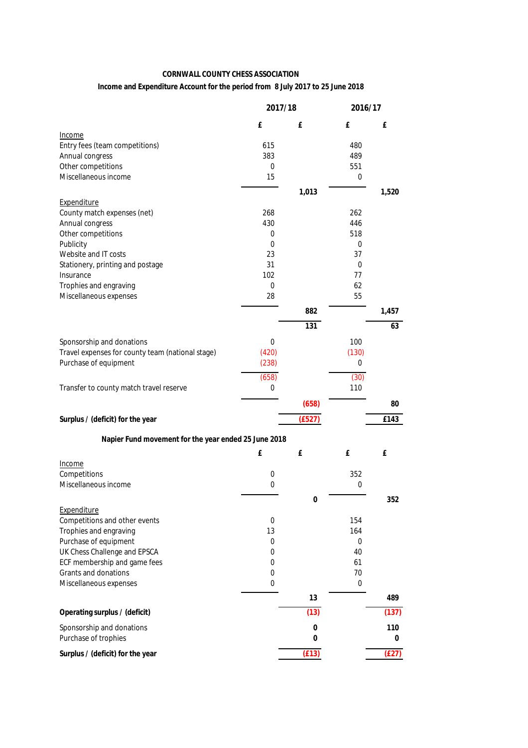#### **Income and Expenditure Account for the period from 8 July 2017 to 25 June 2018**

|                                                      | 2017/18    |        | 2016/17    |       |  |
|------------------------------------------------------|------------|--------|------------|-------|--|
|                                                      | £          | £      | £          | £     |  |
| Income                                               |            |        |            |       |  |
| Entry fees (team competitions)                       | 615<br>383 |        | 480        |       |  |
| Annual congress<br>Other competitions                | 0          |        | 489<br>551 |       |  |
| Miscellaneous income                                 | 15         |        | 0          |       |  |
|                                                      |            | 1,013  |            | 1,520 |  |
| Expenditure                                          |            |        |            |       |  |
| County match expenses (net)                          | 268        |        | 262        |       |  |
| Annual congress                                      | 430        |        | 446        |       |  |
| Other competitions                                   | 0          |        | 518        |       |  |
| Publicity                                            | 0          |        | 0          |       |  |
| Website and IT costs                                 | 23         |        | 37         |       |  |
| Stationery, printing and postage                     | 31         |        | 0          |       |  |
| Insurance                                            | 102        |        | 77         |       |  |
| Trophies and engraving                               | 0          |        | 62         |       |  |
| Miscellaneous expenses                               | 28         |        | 55         |       |  |
|                                                      |            | 882    |            | 1,457 |  |
|                                                      |            | 131    |            | 63    |  |
| Sponsorship and donations                            | 0          |        | 100        |       |  |
| Travel expenses for county team (national stage)     | (420)      |        | (130)      |       |  |
| Purchase of equipment                                | (238)      |        | 0          |       |  |
|                                                      | (658)      |        | (30)       |       |  |
| Transfer to county match travel reserve              | 0          |        | 110        |       |  |
|                                                      |            | (658)  |            | 80    |  |
| Surplus / (deficit) for the year                     |            | (E527) |            | £143  |  |
| Napier Fund movement for the year ended 25 June 2018 |            |        |            |       |  |
|                                                      | £          | £      | £          | £     |  |
| Income                                               |            |        |            |       |  |
| Competitions                                         | 0          |        | 352        |       |  |
| Miscellaneous income                                 | 0          |        | 0          |       |  |
|                                                      |            | 0      |            | 352   |  |
| Expenditure                                          |            |        |            |       |  |
| Competitions and other events                        | 0          |        | 154        |       |  |
| Trophies and engraving<br>Purchase of equipment      | 13<br>0    |        | 164<br>0   |       |  |
| UK Chess Challenge and EPSCA                         | 0          |        | 40         |       |  |
| ECF membership and game fees                         | 0          |        | 61         |       |  |
| Grants and donations                                 | 0          |        | 70         |       |  |
| Miscellaneous expenses                               | 0          |        | 0          |       |  |
|                                                      |            | 13     |            | 489   |  |
| Operating surplus / (deficit)                        |            | (13)   |            | (137) |  |
| Sponsorship and donations                            |            | 0      |            | 110   |  |
| Purchase of trophies                                 |            | 0      |            | 0     |  |
| Surplus / (deficit) for the year                     |            | (E13)  |            | (E27) |  |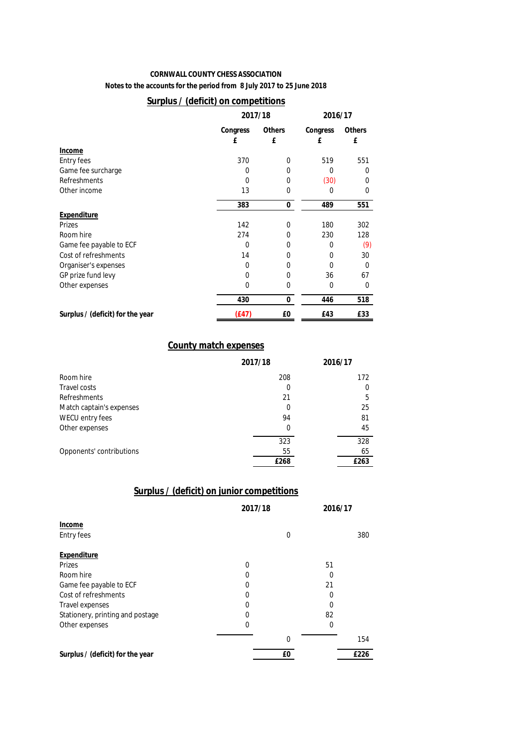**Notes to the accounts for the period from 8 July 2017 to 25 June 2018**

#### **Surplus / (deficit) on competitions**

|                                  |          | 2017/18       |              |               |
|----------------------------------|----------|---------------|--------------|---------------|
|                                  | Congress | <b>Others</b> | Congress     | <b>Others</b> |
|                                  | £        | £             | £            | £             |
| Income                           |          |               |              |               |
| <b>Entry fees</b>                | 370      | 0             | 519          | 551           |
| Game fee surcharge               | 0        | 0             | $\Omega$     | 0             |
| <b>Refreshments</b>              | $\Omega$ | 0             | (30)         | $\mathbf{0}$  |
| Other income                     | 13       | 0             | 0            | $\mathbf{0}$  |
|                                  | 383      | 0             | 489          | 551           |
| Expenditure                      |          |               |              |               |
| <b>Prizes</b>                    | 142      | $\Omega$      | 180          | 302           |
| Room hire                        | 274      | 0             | 230          | 128           |
| Game fee payable to ECF          | $\Omega$ | 0             | $\Omega$     | (9)           |
| Cost of refreshments             | 14       | 0             | 0            | 30            |
| Organiser's expenses             | $\Omega$ | 0             | $\Omega$     | 0             |
| GP prize fund levy               | $\Omega$ | 0             | 36           | 67            |
| Other expenses                   | $\Omega$ | 0             | $\mathbf{0}$ | 0             |
|                                  | 430      | 0             | 446          | 518           |
| Surplus / (deficit) for the year | (E47)    | £0            | £43          | £33           |

#### **County match expenses**

|                          | 2017/18 | 2016/17 |
|--------------------------|---------|---------|
| Room hire                | 208     | 172     |
| <b>Travel costs</b>      | 0       | 0       |
| <b>Refreshments</b>      | 21      | 5       |
| Match captain's expenses | 0       | 25      |
| WECU entry fees          | 94      | 81      |
| Other expenses           | 0       | 45      |
|                          | 323     | 328     |
| Opponents' contributions | 55      | 65      |
|                          | £268    | £263    |

### **Surplus / (deficit) on junior competitions**

|                                  | 2017/18 |              | 2016/17 |      |
|----------------------------------|---------|--------------|---------|------|
| Income                           |         |              |         |      |
| <b>Entry fees</b>                |         | 0            |         | 380  |
| Expenditure                      |         |              |         |      |
| Prizes                           | 0       |              | 51      |      |
| Room hire                        | 0       |              | 0       |      |
| Game fee payable to ECF          | 0       |              | 21      |      |
| Cost of refreshments             | 0       |              | 0       |      |
| <b>Travel expenses</b>           | 0       |              | 0       |      |
| Stationery, printing and postage | 0       |              | 82      |      |
| Other expenses                   | 0       |              | 0       |      |
|                                  |         | $\mathbf{0}$ |         | 154  |
| Surplus / (deficit) for the year |         | £0           |         | £226 |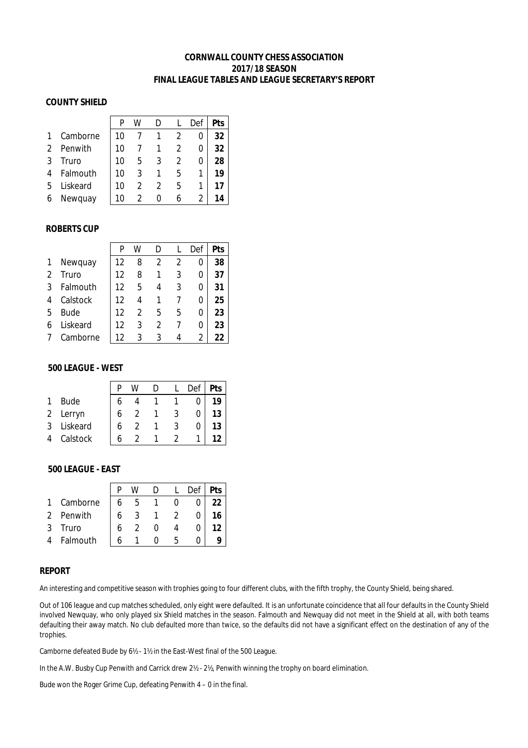#### **CORNWALL COUNTY CHESS ASSOCIATION 2017/18 SEASON FINAL LEAGUE TABLES AND LEAGUE SECRETARY'S REPORT**

#### **COUNTY SHIELD**

|   |          | p  | W |   |   | Def | <b>Pts</b> |
|---|----------|----|---|---|---|-----|------------|
|   | Camborne | 10 |   |   |   | 0   | 32         |
|   | Penwith  | 10 |   |   |   | 0   | 32         |
| 3 | Truro    | 10 | 5 |   |   | 0   | 28         |
|   | Falmouth | 10 | 3 |   | 5 |     | 19         |
| 5 | Liskeard | 10 | 2 |   | 5 | 1   | 17         |
| 6 | Newquay  | 10 |   | O | 6 |     | 14         |

#### **ROBERTS CUP**

|                |             | P  | w | D |   | Def | Pts |
|----------------|-------------|----|---|---|---|-----|-----|
| 1              | Newquay     | 12 | 8 | 2 | 2 | 0   | 38  |
| $\overline{2}$ | Truro       | 12 | 8 |   | 3 | 0   | 37  |
| 3              | Falmouth    | 12 | 5 | 4 | 3 | 0   | 31  |
| 4              | Calstock    | 12 | 4 |   |   | 0   | 25  |
| 5              | <b>Bude</b> | 12 | 2 | 5 | 5 | 0   | 23  |
| 6              | Liskeard    | 12 | 3 | 2 |   | 0   | 23  |
|                | Camborne    | 12 | 3 | 3 |   | 2   | 22  |

#### **500 LEAGUE - WEST**

|   |             |   |  | Def | Pts |
|---|-------------|---|--|-----|-----|
|   | <b>Bude</b> |   |  |     | 19  |
| 2 | Lerryn      |   |  |     | 13  |
| 3 | Liskeard    | b |  |     | 13  |
| 4 | Calstock    | h |  |     |     |

#### **500 LEAGUE - EAST**

|               |          |   |   |  | Def | Pts |
|---------------|----------|---|---|--|-----|-----|
|               | Camborne | 6 | h |  |     |     |
| $\mathcal{P}$ | Penwith  | 6 |   |  |     |     |
|               | Truro    |   |   |  |     |     |
|               | Falmouth |   |   |  |     |     |

#### **REPORT**

An interesting and competitive season with trophies going to four different clubs, with the fifth trophy, the County Shield, being shared.

Out of 106 league and cup matches scheduled, only eight were defaulted. It is an unfortunate coincidence that all four defaults in the County Shield involved Newquay, who only played six Shield matches in the season. Falmouth and Newquay did not meet in the Shield at all, with both teams defaulting their away match. No club defaulted more than twice, so the defaults did not have a significant effect on the destination of any of the trophies.

Camborne defeated Bude by 6½ - 1½ in the East-West final of the 500 League.

In the A.W. Busby Cup Penwith and Carrick drew 2½ - 2½, Penwith winning the trophy on board elimination.

Bude won the Roger Grime Cup, defeating Penwith 4 – 0 in the final.